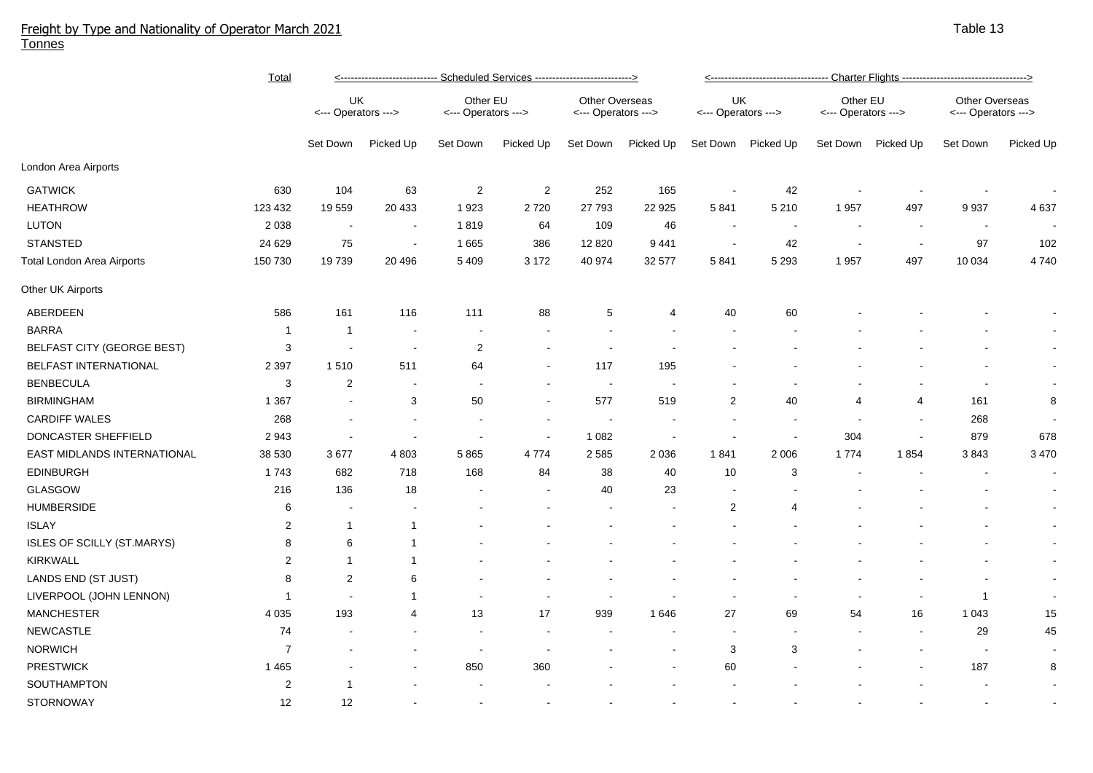## Freight by Type and Nationality of Operator March 2021 Tonnes

|                                   | <b>Total</b>   | <---------------------------- Scheduled Services ---------------------------> |                          |                                 |            |                                              |                | <---------------------------------- Charter Flights --------------------------------->> |                          |                                 |                          |                                              |           |  |
|-----------------------------------|----------------|-------------------------------------------------------------------------------|--------------------------|---------------------------------|------------|----------------------------------------------|----------------|-----------------------------------------------------------------------------------------|--------------------------|---------------------------------|--------------------------|----------------------------------------------|-----------|--|
|                                   |                | UK<br><--- Operators --->                                                     |                          | Other EU<br><--- Operators ---> |            | <b>Other Overseas</b><br><--- Operators ---> |                | UK<br><--- Operators --->                                                               |                          | Other EU<br><--- Operators ---> |                          | <b>Other Overseas</b><br><--- Operators ---> |           |  |
|                                   |                | Set Down                                                                      | Picked Up                | Set Down                        | Picked Up  | Set Down                                     | Picked Up      | Set Down                                                                                | Picked Up                | Set Down                        | Picked Up                | Set Down                                     | Picked Up |  |
| London Area Airports              |                |                                                                               |                          |                                 |            |                                              |                |                                                                                         |                          |                                 |                          |                                              |           |  |
| <b>GATWICK</b>                    | 630            | 104                                                                           | 63                       | $\overline{2}$                  | $\sqrt{2}$ | 252                                          | 165            | $\sim$                                                                                  | 42                       |                                 |                          |                                              |           |  |
| <b>HEATHROW</b>                   | 123 432        | 19559                                                                         | 20 4 33                  | 1923                            | 2720       | 27 793                                       | 22 925         | 5841                                                                                    | 5 2 1 0                  | 1957                            | 497                      | 9937                                         | 4 6 3 7   |  |
| LUTON                             | 2 0 3 8        | $\sim$                                                                        | $\overline{\phantom{a}}$ | 1819                            | 64         | 109                                          | 46             | $\sim$                                                                                  | $\overline{\phantom{a}}$ |                                 | $\overline{\phantom{a}}$ | $\sim$                                       |           |  |
| <b>STANSTED</b>                   | 24 6 29        | 75                                                                            |                          | 1 6 6 5                         | 386        | 12 8 20                                      | 9 4 4 1        | $\overline{\phantom{a}}$                                                                | 42                       |                                 | $\sim$                   | 97                                           | 102       |  |
| Total London Area Airports        | 150 730        | 19739                                                                         | 20 4 96                  | 5 4 0 9                         | 3 1 7 2    | 40 974                                       | 32 577         | 5841                                                                                    | 5 2 9 3                  | 1957                            | 497                      | 10 0 34                                      | 4740      |  |
| Other UK Airports                 |                |                                                                               |                          |                                 |            |                                              |                |                                                                                         |                          |                                 |                          |                                              |           |  |
| ABERDEEN                          | 586            | 161                                                                           | 116                      | 111                             | 88         | 5                                            | 4              | 40                                                                                      | 60                       |                                 |                          |                                              |           |  |
| <b>BARRA</b>                      | $\mathbf 1$    | $\overline{1}$                                                                |                          |                                 |            |                                              |                |                                                                                         |                          |                                 |                          |                                              |           |  |
| <b>BELFAST CITY (GEORGE BEST)</b> | 3              | $\sim$                                                                        | $\overline{\phantom{a}}$ | $\overline{2}$                  |            |                                              |                |                                                                                         |                          |                                 |                          |                                              | $\sim$    |  |
| BELFAST INTERNATIONAL             | 2 3 9 7        | 1510                                                                          | 511                      | 64                              |            | 117                                          | 195            |                                                                                         |                          |                                 |                          |                                              | $\sim$    |  |
| <b>BENBECULA</b>                  | 3              | $\boldsymbol{2}$                                                              | $\blacksquare$           | $\overline{\phantom{a}}$        |            |                                              |                |                                                                                         |                          |                                 |                          | $\blacksquare$                               |           |  |
| <b>BIRMINGHAM</b>                 | 1 3 6 7        |                                                                               | 3                        | 50                              |            | 577                                          | 519            | $\sqrt{2}$                                                                              | 40                       | 4                               | 4                        | 161                                          | 8         |  |
| <b>CARDIFF WALES</b>              | 268            |                                                                               | $\blacksquare$           |                                 |            | $\sim$                                       |                | $\blacksquare$                                                                          | $\blacksquare$           |                                 | $\overline{\phantom{a}}$ | 268                                          |           |  |
| DONCASTER SHEFFIELD               | 2943           |                                                                               | $\sim$                   |                                 |            | 1 0 8 2                                      | $\blacksquare$ | $\sim$                                                                                  | $\sim$                   | 304                             | $\sim$                   | 879                                          | 678       |  |
| EAST MIDLANDS INTERNATIONAL       | 38 530         | 3677                                                                          | 4 8 0 3                  | 5 8 6 5                         | 4774       | 2 5 8 5                                      | 2 0 3 6        | 1841                                                                                    | 2 0 0 6                  | 1 7 7 4                         | 1854                     | 3843                                         | 3 4 7 0   |  |
| <b>EDINBURGH</b>                  | 1743           | 682                                                                           | 718                      | 168                             | 84         | 38                                           | 40             | 10                                                                                      | 3                        |                                 |                          |                                              |           |  |
| GLASGOW                           | 216            | 136                                                                           | 18                       |                                 |            | 40                                           | 23             |                                                                                         |                          |                                 |                          |                                              |           |  |
| <b>HUMBERSIDE</b>                 | 6              |                                                                               |                          |                                 |            |                                              |                | $\overline{2}$                                                                          | 4                        |                                 |                          |                                              |           |  |
| <b>ISLAY</b>                      | $\overline{c}$ | -1                                                                            | -1                       |                                 |            |                                              |                |                                                                                         |                          |                                 |                          |                                              |           |  |
| ISLES OF SCILLY (ST.MARYS)        | 8              | 6                                                                             | -1                       |                                 |            |                                              |                |                                                                                         |                          |                                 |                          |                                              |           |  |
| <b>KIRKWALL</b>                   | 2              | -1                                                                            | -1                       |                                 |            |                                              |                |                                                                                         |                          |                                 |                          |                                              | $\sim$    |  |
| LANDS END (ST JUST)               | 8              | $\overline{2}$                                                                | 6                        |                                 |            |                                              |                |                                                                                         |                          |                                 |                          |                                              | $\sim$    |  |
| LIVERPOOL (JOHN LENNON)           | $\mathbf 1$    |                                                                               | $\mathbf{1}$             |                                 |            |                                              |                |                                                                                         |                          |                                 |                          | 1                                            |           |  |
| <b>MANCHESTER</b>                 | 4 0 3 5        | 193                                                                           | $\overline{4}$           | 13                              | 17         | 939                                          | 1646           | 27                                                                                      | 69                       | 54                              | 16                       | 1 0 4 3                                      | 15        |  |
| <b>NEWCASTLE</b>                  | 74             |                                                                               |                          | $\overline{a}$                  |            |                                              |                | $\overline{\phantom{a}}$                                                                |                          |                                 | $\blacksquare$           | 29                                           | 45        |  |
| <b>NORWICH</b>                    | $\overline{7}$ |                                                                               |                          | $\overline{\phantom{a}}$        |            |                                              |                | 3                                                                                       | 3                        |                                 |                          | $\overline{\phantom{a}}$                     |           |  |
| <b>PRESTWICK</b>                  | 1465           |                                                                               |                          | 850                             | 360        |                                              |                | 60                                                                                      |                          |                                 |                          | 187                                          | 8         |  |
| SOUTHAMPTON                       | $\overline{c}$ | 1                                                                             |                          |                                 |            |                                              |                |                                                                                         |                          |                                 |                          |                                              |           |  |
| <b>STORNOWAY</b>                  | 12             | 12                                                                            |                          |                                 |            |                                              |                |                                                                                         |                          |                                 |                          |                                              |           |  |